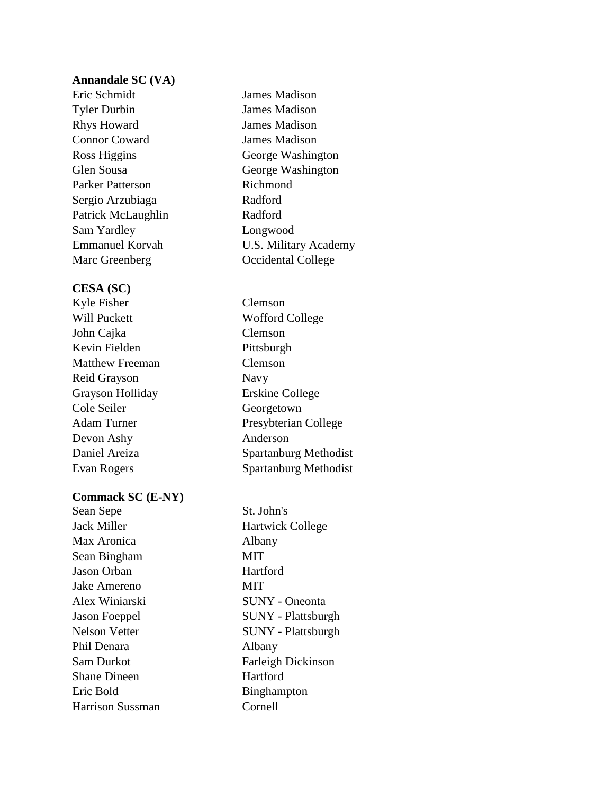## **Annandale SC (VA)**

Eric Schmidt James Madison Tyler Durbin James Madison Rhys Howard James Madison Connor Coward James Madison Parker Patterson Richmond Sergio Arzubiaga Radford Patrick McLaughlin Radford Sam Yardley Longwood Marc Greenberg **Occidental College** 

### **CESA (SC)**

Kyle Fisher Clemson Will Puckett Wofford College John Cajka Clemson Kevin Fielden Pittsburgh Matthew Freeman Clemson Reid Grayson Navy Grayson Holliday Erskine College Cole Seiler Georgetown Adam Turner Presybterian College Devon Ashy Anderson Daniel Areiza Spartanburg Methodist Evan Rogers Spartanburg Methodist

## **Commack SC (E-NY)**

Sean Sepe St. John's Jack Miller Hartwick College Max Aronica Albany Sean Bingham MIT Jason Orban Hartford Jake Amereno MIT Alex Winiarski SUNY - Oneonta Jason Foeppel SUNY - Plattsburgh Nelson Vetter SUNY - Plattsburgh Phil Denara Albany Sam Durkot Farleigh Dickinson Shane Dineen Hartford Eric Bold Binghampton Harrison Sussman Cornell

Ross Higgins George Washington Glen Sousa George Washington Emmanuel Korvah U.S. Military Academy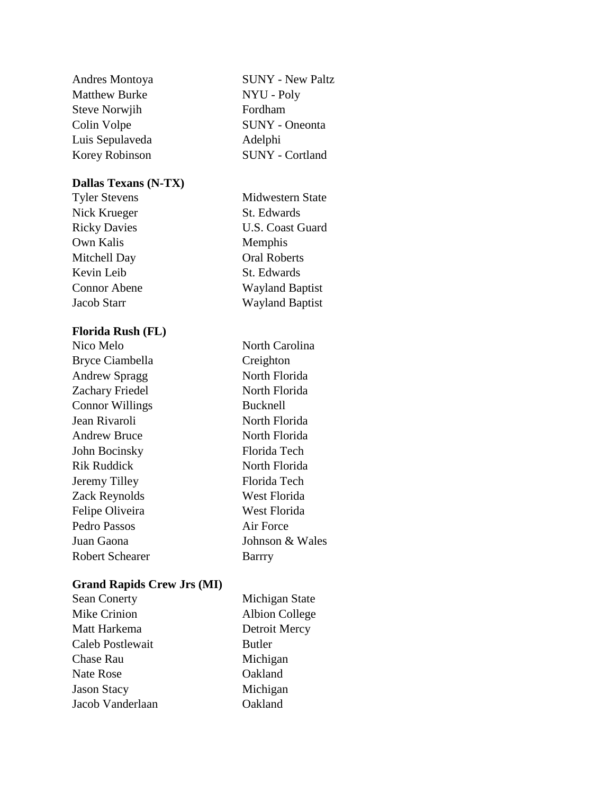| Andres Montoya       |  |  |
|----------------------|--|--|
| <b>Matthew Burke</b> |  |  |
| <b>Steve Norwjih</b> |  |  |
| Colin Volpe          |  |  |
| Luis Sepulaveda      |  |  |
| Korey Robinson       |  |  |

# **Dallas Texans (N-TX)**

Nick Krueger St. Edwards Own Kalis Memphis Mitchell Day **Oral Roberts** Kevin Leib St. Edwards

## **Florida Rush (FL)**

Bryce Ciambella Creighton Andrew Spragg North Florida Zachary Friedel North Florida Connor Willings Bucknell Jean Rivaroli North Florida Andrew Bruce North Florida John Bocinsky Florida Tech Rik Ruddick North Florida Jeremy Tilley Florida Tech Zack Reynolds West Florida Felipe Oliveira West Florida Pedro Passos Air Force Juan Gaona Johnson & Wales Robert Schearer Barrry

**SUNY - New Paltz** NYU - Poly Fordham SUNY - Oneonta Adelphi SUNY - Cortland

Tyler Stevens Midwestern State Ricky Davies U.S. Coast Guard Connor Abene Wayland Baptist Jacob Starr Wayland Baptist

Nico Melo North Carolina

### **Grand Rapids Crew Jrs (MI)**

| <b>Sean Conerty</b> | Michigan State        |
|---------------------|-----------------------|
| Mike Crinion        | <b>Albion College</b> |
| Matt Harkema        | Detroit Mercy         |
| Caleb Postlewait    | <b>Butler</b>         |
| <b>Chase Rau</b>    | Michigan              |
| Nate Rose           | Oakland               |
| <b>Jason Stacy</b>  | Michigan              |
| Jacob Vanderlaan    | Oakland               |
|                     |                       |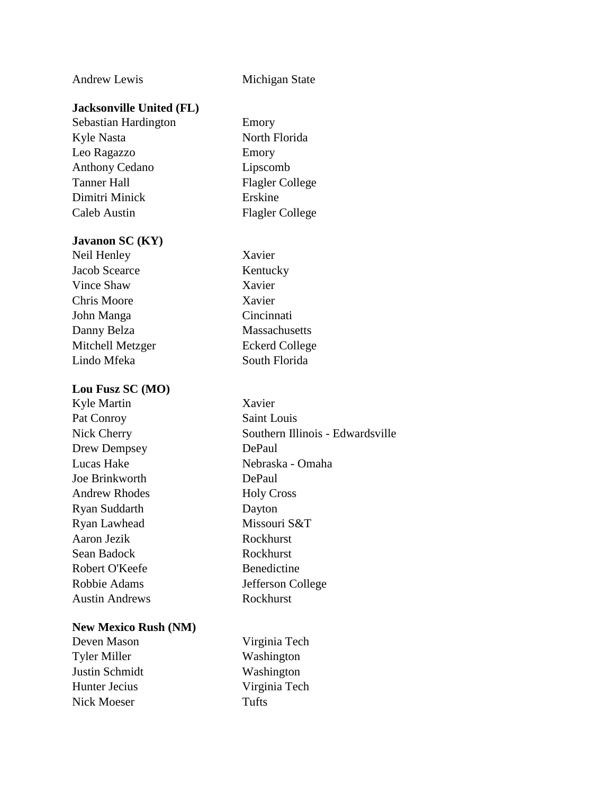## Andrew Lewis Michigan State

## **Jacksonville United (FL)**

Sebastian Hardington Emory Kyle Nasta North Florida Leo Ragazzo Emory Anthony Cedano Lipscomb Tanner Hall Flagler College Dimitri Minick Erskine Caleb Austin Flagler College

#### **Javanon SC (KY)**

Neil Henley Xavier Jacob Scearce Kentucky Vince Shaw Xavier Chris Moore Xavier John Manga Cincinnati Danny Belza Massachusetts Mitchell Metzger Eckerd College Lindo Mfeka South Florida

#### **Lou Fusz SC (MO)**

Kyle Martin Xavier Pat Conroy Saint Louis Nick Cherry Southern Illinois - Edwardsville Drew Dempsey DePaul Lucas Hake Nebraska - Omaha Joe Brinkworth DePaul Andrew Rhodes Holy Cross Ryan Suddarth Dayton Ryan Lawhead Missouri S&T Aaron Jezik Rockhurst Sean Badock Rockhurst Robert O'Keefe Benedictine Robbie Adams Jefferson College Austin Andrews Rockhurst

### **New Mexico Rush (NM)**

Deven Mason Virginia Tech Tyler Miller Washington Justin Schmidt Washington Hunter Jecius Virginia Tech Nick Moeser **Tufts**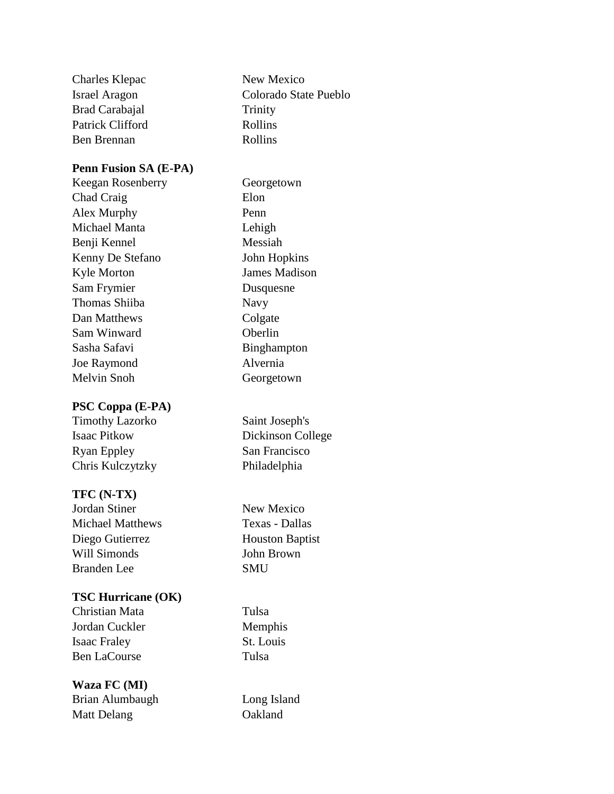| Charles Klepac       | New Mexico            |
|----------------------|-----------------------|
| <b>Israel Aragon</b> | Colorado State Pueblo |
| Brad Carabajal       | Trinity               |
| Patrick Clifford     | Rollins               |
| Ben Brennan          | Rollins               |
|                      |                       |

# **Penn Fusion SA (E-PA)**

Keegan Rosenberry Georgetown Chad Craig Elon Alex Murphy Penn Michael Manta Lehigh Benji Kennel Messiah Kenny De Stefano John Hopkins Kyle Morton James Madison Sam Frymier Dusquesne Thomas Shiiba Navy Dan Matthews Colgate Sam Winward Oberlin Sasha Safavi Binghampton Joe Raymond Alvernia Melvin Snoh Georgetown

# **PSC Coppa (E-PA)**

Timothy Lazorko Saint Joseph's Isaac Pitkow Dickinson College Ryan Eppley San Francisco Chris Kulczytzky Philadelphia

# **TFC (N-TX)**

Jordan Stiner New Mexico Michael Matthews Texas - Dallas Diego Gutierrez Houston Baptist Will Simonds John Brown Branden Lee SMU

# **TSC Hurricane (OK)**

Christian Mata Tulsa Jordan Cuckler Memphis Isaac Fraley St. Louis Ben LaCourse Tulsa

**Waza FC (MI)** Brian Alumbaugh Long Island Matt Delang **Oakland**